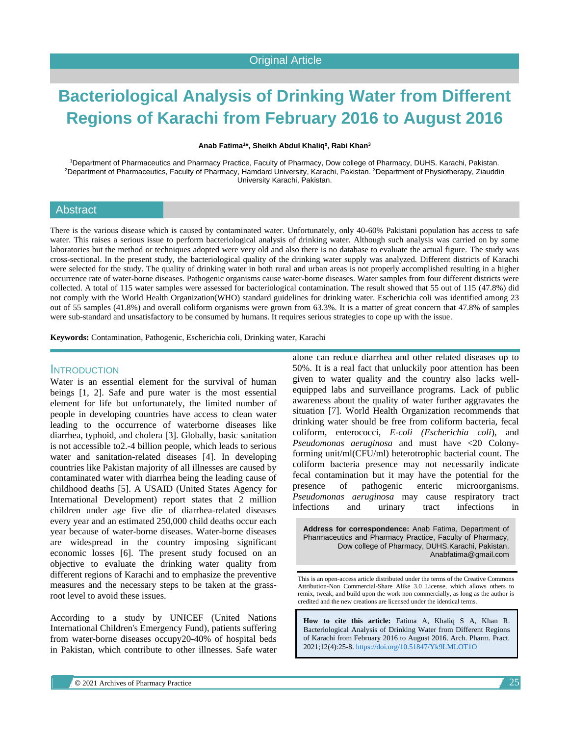# **Bacteriological Analysis of Drinking Water from Different Regions of Karachi from February 2016 to August 2016**

**Anab Fatima<sup>1</sup> \*, Sheikh Abdul Khaliq², Rabi Khan<sup>3</sup>**

<sup>1</sup>Department of Pharmaceutics and Pharmacy Practice, Faculty of Pharmacy, Dow college of Pharmacy, DUHS. Karachi, Pakistan. <sup>2</sup>Department of Pharmaceutics, Faculty of Pharmacy, Hamdard University, Karachi, Pakistan. <sup>3</sup>Department of Physiotherapy, Ziauddin University Karachi, Pakistan.

## **Abstract**

There is the various disease which is caused by contaminated water. Unfortunately, only 40-60% Pakistani population has access to safe water. This raises a serious issue to perform bacteriological analysis of drinking water. Although such analysis was carried on by some laboratories but the method or techniques adopted were very old and also there is no database to evaluate the actual figure. The study was cross-sectional. In the present study, the bacteriological quality of the drinking water supply was analyzed. Different districts of Karachi were selected for the study. The quality of drinking water in both rural and urban areas is not properly accomplished resulting in a higher occurrence rate of water-borne diseases. Pathogenic organisms cause water-borne diseases. Water samples from four different districts were collected. A total of 115 water samples were assessed for bacteriological contamination. The result showed that 55 out of 115 (47.8%) did not comply with the World Health Organization(WHO) standard guidelines for drinking water. Escherichia coli was identified among 23 out of 55 samples (41.8%) and overall coliform organisms were grown from 63.3%. It is a matter of great concern that 47.8% of samples were sub-standard and unsatisfactory to be consumed by humans. It requires serious strategies to cope up with the issue.

**Keywords:** Contamination, Pathogenic, Escherichia coli, Drinking water, Karachi

#### INTRODUCTION

Water is an essential element for the survival of human beings [1, 2]. Safe and pure water is the most essential element for life but unfortunately, the limited number of people in developing countries have access to clean water leading to the occurrence of waterborne diseases like diarrhea, typhoid, and cholera [3]. Globally, basic sanitation is not accessible to2.-4 billion people, which leads to serious water and sanitation-related diseases [4]. In developing countries like Pakistan majority of all illnesses are caused by contaminated water with diarrhea being the leading cause of childhood deaths [5]. A USAID (United States Agency for International Development) report states that 2 million children under age five die of diarrhea-related diseases every year and an estimated 250,000 child deaths occur each year because of water-borne diseases. Water-borne diseases are widespread in the country imposing significant economic losses [6]. The present study focused on an objective to evaluate the drinking water quality from different regions of Karachi and to emphasize the preventive measures and the necessary steps to be taken at the grassroot level to avoid these issues.

According to a study by UNICEF (United Nations International Children's Emergency Fund), patients suffering from water-borne diseases occupy20-40% of hospital beds in Pakistan, which contribute to other illnesses. Safe water alone can reduce diarrhea and other related diseases up to 50%. It is a real fact that unluckily poor attention has been given to water quality and the country also lacks wellequipped labs and surveillance programs. Lack of public awareness about the quality of water further aggravates the situation [7]. World Health Organization recommends that drinking water should be free from coliform bacteria, fecal coliform, enterococci, *E-coli (Escherichia coli*), and *Pseudomonas aeruginosa* and must have <20 Colonyforming unit/ml(CFU/ml) heterotrophic bacterial count. The coliform bacteria presence may not necessarily indicate fecal contamination but it may have the potential for the presence of pathogenic enteric microorganisms. *Pseudomonas aeruginosa* may cause respiratory tract infections and urinary tract infections in

**Address for correspondence:** Anab Fatima, Department of Pharmaceutics and Pharmacy Practice, Faculty of Pharmacy, Dow college of Pharmacy, DUHS.Karachi, Pakistan. Anabfatima@gmail.com

This is an open-access article distributed under the terms of the Creative Commons Attribution-Non Commercial-Share Alike 3.0 License, which allows others to remix, tweak, and build upon the work non commercially, as long as the author is credited and the new creations are licensed under the identical terms.

**How to cite this article:** Fatima A, Khaliq S A, Khan R. Bacteriological Analysis of Drinking Water from Different Regions of Karachi from February 2016 to August 2016. Arch. Pharm. Pract. 2021;12(4):25-8. <https://doi.org/10.51847/Yk9LMLOT1O>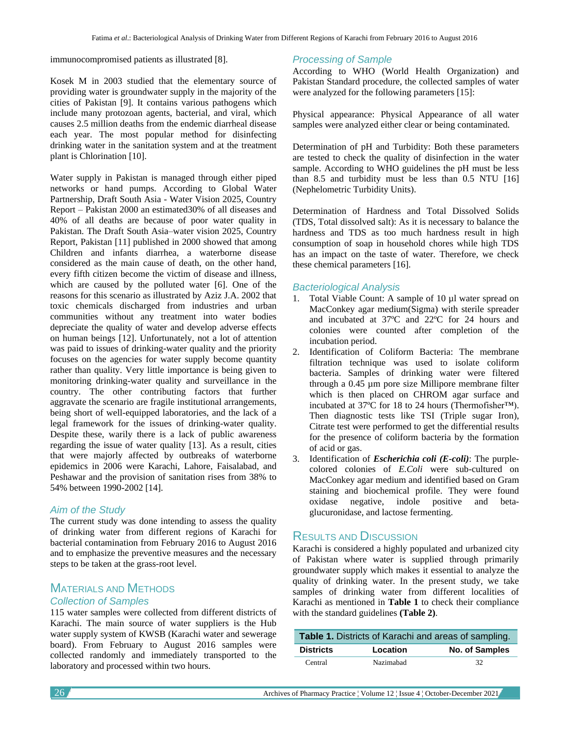immunocompromised patients as illustrated [8].

Kosek M in 2003 studied that the elementary source of providing water is groundwater supply in the majority of the cities of Pakistan [9]. It contains various pathogens which include many protozoan agents, bacterial, and viral, which causes 2.5 million deaths from the endemic diarrheal disease each year. The most popular method for disinfecting drinking water in the sanitation system and at the treatment plant is Chlorination [10].

Water supply in Pakistan is managed through either piped networks or hand pumps. According to Global Water Partnership, Draft South Asia - Water Vision 2025, Country Report – Pakistan 2000 an estimated30% of all diseases and 40% of all deaths are because of poor water quality in Pakistan. The Draft South Asia–water vision 2025, Country Report, Pakistan [11] published in 2000 showed that among Children and infants diarrhea, a waterborne disease considered as the main cause of death, on the other hand, every fifth citizen become the victim of disease and illness, which are caused by the polluted water [6]. One of the reasons for this scenario as illustrated by Aziz J.A. 2002 that toxic chemicals discharged from industries and urban communities without any treatment into water bodies depreciate the quality of water and develop adverse effects on human beings [12]. Unfortunately, not a lot of attention was paid to issues of drinking-water quality and the priority focuses on the agencies for water supply become quantity rather than quality. Very little importance is being given to monitoring drinking-water quality and surveillance in the country. The other contributing factors that further aggravate the scenario are fragile institutional arrangements, being short of well-equipped laboratories, and the lack of a legal framework for the issues of drinking-water quality. Despite these, warily there is a lack of public awareness regarding the issue of water quality [13]. As a result, cities that were majorly affected by outbreaks of waterborne epidemics in 2006 were Karachi, Lahore, Faisalabad, and Peshawar and the provision of sanitation rises from 38% to 54% between 1990-2002 [14].

#### *Aim of the Study*

The current study was done intending to assess the quality of drinking water from different regions of Karachi for bacterial contamination from February 2016 to August 2016 and to emphasize the preventive measures and the necessary steps to be taken at the grass-root level.

# MATERIALS AND METHODS

#### *Collection of Samples*

115 water samples were collected from different districts of Karachi. The main source of water suppliers is the Hub water supply system of KWSB (Karachi water and sewerage board). From February to August 2016 samples were collected randomly and immediately transported to the laboratory and processed within two hours.

#### *Processing of Sample*

According to WHO (World Health Organization) and Pakistan Standard procedure, the collected samples of water were analyzed for the following parameters [15]:

Physical appearance: Physical Appearance of all water samples were analyzed either clear or being contaminated.

Determination of pH and Turbidity: Both these parameters are tested to check the quality of disinfection in the water sample. According to WHO guidelines the pH must be less than 8.5 and turbidity must be less than 0.5 NTU [16] (Nephelometric Turbidity Units).

Determination of Hardness and Total Dissolved Solids (TDS, Total dissolved salt): As it is necessary to balance the hardness and TDS as too much hardness result in high consumption of soap in household chores while high TDS has an impact on the taste of water. Therefore, we check these chemical parameters [16].

#### *Bacteriological Analysis*

- 1. Total Viable Count: A sample of 10 µl water spread on MacConkey agar medium(Sigma) with sterile spreader and incubated at 37ºC and 22ºC for 24 hours and colonies were counted after completion of the incubation period.
- 2. Identification of Coliform Bacteria: The membrane filtration technique was used to isolate coliform bacteria. Samples of drinking water were filtered through a 0.45 µm pore size Millipore membrane filter which is then placed on CHROM agar surface and incubated at 37ºC for 18 to 24 hours (Thermofisher™). Then diagnostic tests like TSI (Triple sugar Iron), Citrate test were performed to get the differential results for the presence of coliform bacteria by the formation of acid or gas.
- 3. Identification of *Escherichia coli (E-coli)*: The purplecolored colonies of *E.Coli* were sub-cultured on MacConkey agar medium and identified based on Gram staining and biochemical profile. They were found oxidase negative, indole positive and betaglucuronidase, and lactose fermenting.

## RESULTS AND DISCUSSION

Karachi is considered a highly populated and urbanized city of Pakistan where water is supplied through primarily groundwater supply which makes it essential to analyze the quality of drinking water. In the present study, we take samples of drinking water from different localities of Karachi as mentioned in **Table 1** to check their compliance with the standard guidelines **(Table 2)**.

| Table 1. Districts of Karachi and areas of sampling. |           |                       |  |
|------------------------------------------------------|-----------|-----------------------|--|
| <b>Districts</b>                                     | Location  | <b>No. of Samples</b> |  |
| Central                                              | Nazimahad | 32                    |  |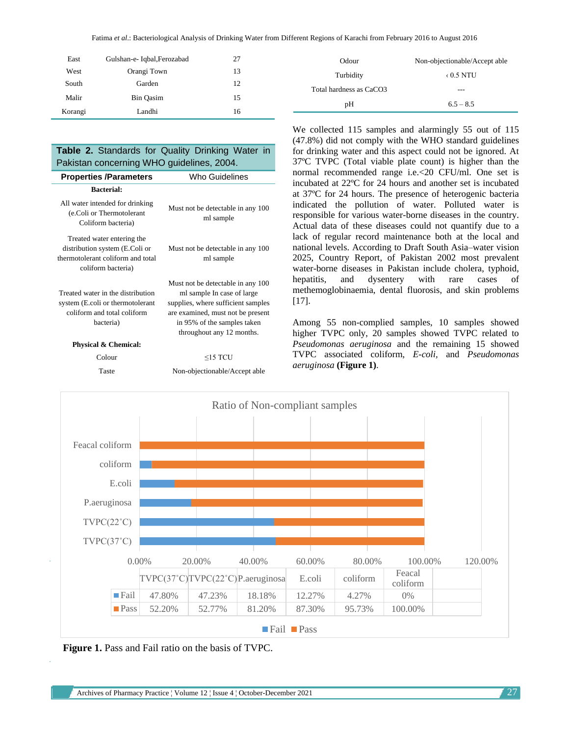Fatima *et al*.: Bacteriological Analysis of Drinking Water from Different Regions of Karachi from February 2016 to August 2016

| East    | Gulshan-e- Iqbal, Ferozabad | 27 |
|---------|-----------------------------|----|
| West    | Orangi Town                 | 13 |
| South   | Garden                      | 12 |
| Malir   | Bin Oasim                   | 15 |
| Korangi | Landhi                      | 16 |

### **Table 2.** Standards for Quality Drinking Water in Pakistan concerning WHO guidelines, 2004.

| <b>Properties /Parameters</b>                                                                                           | Who Guidelines                                                                                                                                                                                         |
|-------------------------------------------------------------------------------------------------------------------------|--------------------------------------------------------------------------------------------------------------------------------------------------------------------------------------------------------|
| <b>Bacterial:</b>                                                                                                       |                                                                                                                                                                                                        |
| All water intended for drinking<br>(e.Coli or Thermotolerant<br>Coliform bacteria)                                      | Must not be detectable in any 100<br>ml sample                                                                                                                                                         |
| Treated water entering the<br>distribution system (E.Coli or<br>thermotolerant coliform and total<br>coliform bacteria) | Must not be detectable in any 100<br>ml sample                                                                                                                                                         |
| Treated water in the distribution<br>system (E.coli or thermotolerant<br>coliform and total coliform<br>bacteria)       | Must not be detectable in any 100<br>ml sample In case of large<br>supplies, where sufficient samples<br>are examined, must not be present<br>in 95% of the samples taken<br>throughout any 12 months. |
| <b>Physical &amp; Chemical:</b>                                                                                         |                                                                                                                                                                                                        |
| Colour                                                                                                                  | $\leq$ 15 TCU                                                                                                                                                                                          |
| Taste                                                                                                                   | Non-objectionable/Accept able                                                                                                                                                                          |

 $pH = 6.5 - 8.5$ We collected 115 samples and alarmingly 55 out of 115 (47.8%) did not comply with the WHO standard guidelines for drinking water and this aspect could not be ignored. At 37ºC TVPC (Total viable plate count) is higher than the normal recommended range i.e.<20 CFU/ml. One set is incubated at 22ºC for 24 hours and another set is incubated at 37ºC for 24 hours. The presence of heterogenic bacteria indicated the pollution of water. Polluted water is responsible for various water-borne diseases in the country. Actual data of these diseases could not quantify due to a lack of regular record maintenance both at the local and national levels. According to Draft South Asia–water vision 2025, Country Report, of Pakistan 2002 most prevalent water-borne diseases in Pakistan include cholera, typhoid, hepatitis, and dysentery with rare cases of methemoglobinaemia, dental fluorosis, and skin problems [17].

Odour Non-objectionable/Accept able

Turbidity  $\cdot$  0.5 NTU

Total hardness as CaCO3 ---

Among 55 non-complied samples, 10 samples showed higher TVPC only, 20 samples showed TVPC related to *Pseudomonas aeruginosa* and the remaining 15 showed TVPC associated coliform, *E-coli,* and *Pseudomonas aeruginosa* **(Figure 1)**.